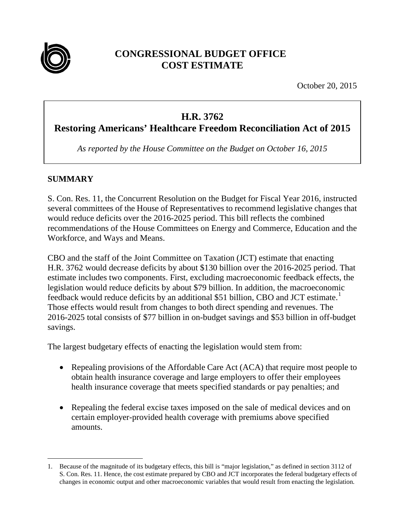

# **CONGRESSIONAL BUDGET OFFICE COST ESTIMATE**

October 20, 2015

# **H.R. 3762**

**Restoring Americans' Healthcare Freedom Reconciliation Act of 2015**

*As reported by the House Committee on the Budget on October 16, 2015*

# **SUMMARY**

S. Con. Res. 11, the Concurrent Resolution on the Budget for Fiscal Year 2016, instructed several committees of the House of Representatives to recommend legislative changes that would reduce deficits over the 2016-2025 period. This bill reflects the combined recommendations of the House Committees on Energy and Commerce, Education and the Workforce, and Ways and Means.

CBO and the staff of the Joint Committee on Taxation (JCT) estimate that enacting H.R. 3762 would decrease deficits by about \$130 billion over the 2016-2025 period. That estimate includes two components. First, excluding macroeconomic feedback effects, the legislation would reduce deficits by about \$79 billion. In addition, the macroeconomic feedback would reduce deficits by an additional \$5[1](#page-0-0) billion, CBO and JCT estimate.<sup>1</sup> Those effects would result from changes to both direct spending and revenues. The 2016-2025 total consists of \$77 billion in on-budget savings and \$53 billion in off-budget savings.

The largest budgetary effects of enacting the legislation would stem from:

- Repealing provisions of the Affordable Care Act (ACA) that require most people to obtain health insurance coverage and large employers to offer their employees health insurance coverage that meets specified standards or pay penalties; and
- Repealing the federal excise taxes imposed on the sale of medical devices and on certain employer-provided health coverage with premiums above specified amounts.

<span id="page-0-0"></span> <sup>1.</sup> Because of the magnitude of its budgetary effects, this bill is "major legislation," as defined in section 3112 of S. Con. Res. 11. Hence, the cost estimate prepared by CBO and JCT incorporates the federal budgetary effects of changes in economic output and other macroeconomic variables that would result from enacting the legislation.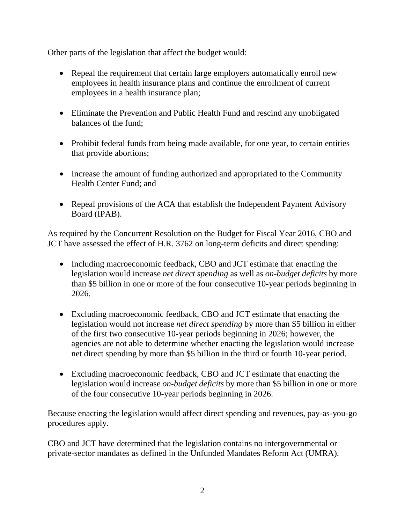Other parts of the legislation that affect the budget would:

- Repeal the requirement that certain large employers automatically enroll new employees in health insurance plans and continue the enrollment of current employees in a health insurance plan;
- Eliminate the Prevention and Public Health Fund and rescind any unobligated balances of the fund;
- Prohibit federal funds from being made available, for one year, to certain entities that provide abortions;
- Increase the amount of funding authorized and appropriated to the Community Health Center Fund; and
- Repeal provisions of the ACA that establish the Independent Payment Advisory Board (IPAB).

As required by the Concurrent Resolution on the Budget for Fiscal Year 2016, CBO and JCT have assessed the effect of H.R. 3762 on long-term deficits and direct spending:

- Including macroeconomic feedback, CBO and JCT estimate that enacting the legislation would increase *net direct spending* as well as *on-budget deficits* by more than \$5 billion in one or more of the four consecutive 10-year periods beginning in 2026.
- Excluding macroeconomic feedback, CBO and JCT estimate that enacting the legislation would not increase *net direct spending* by more than \$5 billion in either of the first two consecutive 10-year periods beginning in 2026; however, the agencies are not able to determine whether enacting the legislation would increase net direct spending by more than \$5 billion in the third or fourth 10-year period.
- Excluding macroeconomic feedback, CBO and JCT estimate that enacting the legislation would increase *on-budget deficits* by more than \$5 billion in one or more of the four consecutive 10-year periods beginning in 2026.

Because enacting the legislation would affect direct spending and revenues, pay-as-you-go procedures apply.

CBO and JCT have determined that the legislation contains no intergovernmental or private-sector mandates as defined in the Unfunded Mandates Reform Act (UMRA).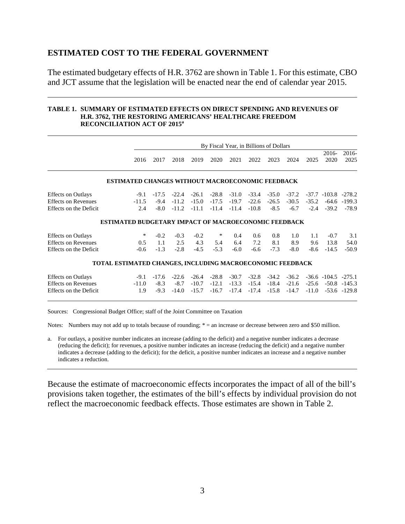#### **ESTIMATED COST TO THE FEDERAL GOVERNMENT**

The estimated budgetary effects of H.R. 3762 are shown in Table 1. For this estimate, CBO and JCT assume that the legislation will be enacted near the end of calendar year 2015.

#### **TABLE 1. SUMMARY OF ESTIMATED EFFECTS ON DIRECT SPENDING AND REVENUES OF H.R. 3762, THE RESTORING AMERICANS' HEALTHCARE FREEDOM RECONCILIATION ACT OF 2015<sup>a</sup>**

|                                                      |                                                             |                  |                    |                    |                    |                    |                    | By Fiscal Year, in Billions of Dollars |                    |                    |                           |                                      |
|------------------------------------------------------|-------------------------------------------------------------|------------------|--------------------|--------------------|--------------------|--------------------|--------------------|----------------------------------------|--------------------|--------------------|---------------------------|--------------------------------------|
|                                                      | 2016                                                        | 2017             | 2018               | 2019               | 2020               | 2021               | 2022               | 2023                                   | 2024               | 2025               | $2016-$<br>2020           | 2016-<br>2025                        |
|                                                      | <b>ESTIMATED CHANGES WITHOUT MACROECONOMIC FEEDBACK</b>     |                  |                    |                    |                    |                    |                    |                                        |                    |                    |                           |                                      |
| <b>Effects on Outlays</b>                            | $-9.1$                                                      | $-17.5$          | $-22.4$            | $-26.1$            | $-28.8$            | $-31.0$            | $-33.4$            | $-35.0$                                | $-37.2$            |                    | $-37.7$ $-103.8$ $-278.2$ |                                      |
| <b>Effects on Revenues</b><br>Effects on the Deficit | $-11.5$<br>2.4                                              | $-9.4$<br>$-8.0$ | $-11.2$<br>$-11.2$ | $-15.0$<br>$-11.1$ | $-17.5$<br>$-11.4$ | $-19.7$<br>$-11.4$ | $-22.6$<br>$-10.8$ | $-26.5$<br>$-8.5$                      | $-30.5$<br>$-6.7$  | $-35.2$<br>$-2.4$  | -64.6<br>$-39.2$          | $-199.3$<br>$-78.9$                  |
|                                                      | <b>ESTIMATED BUDGETARY IMPACT OF MACROECONOMIC FEEDBACK</b> |                  |                    |                    |                    |                    |                    |                                        |                    |                    |                           |                                      |
| <b>Effects on Outlays</b>                            | ∗                                                           | $-0.2$           | $-0.3$             | $-0.2$             | ∗                  | 0.4                | 0.6                | 0.8                                    | 1.0                | 1.1                | $-0.7$                    | 3.1                                  |
| <b>Effects on Revenues</b><br>Effects on the Deficit | 0.5<br>$-0.6$                                               | 1.1<br>$-1.3$    | 2.5<br>$-2.8$      | 4.3<br>$-4.5$      | 5.4<br>$-5.3$      | 6.4<br>$-6.0$      | 7.2<br>$-6.6$      | 8.1<br>$-7.3$                          | 8.9<br>$-8.0$      | 9.6<br>$-8.6$      | 13.8<br>$-14.5$           | 54.0<br>$-50.9$                      |
|                                                      | TOTAL ESTIMATED CHANGES, INCLUDING MACROECONOMIC FEEDBACK   |                  |                    |                    |                    |                    |                    |                                        |                    |                    |                           |                                      |
| <b>Effects on Outlays</b>                            | $-9.1$                                                      | $-17.6$          | $-22.6$            | $-26.4$            | $-28.8$            | $-30.7$            | $-32.8$            | $-34.2$                                | $-36.2$            |                    | $-36.6$ $-104.5$ $-275.1$ |                                      |
| <b>Effects on Revenues</b><br>Effects on the Deficit | $-11.0$<br>1.9                                              | $-8.3$<br>$-9.3$ | $-8.7$<br>$-14.0$  | $-10.7$<br>$-15.7$ | $-12.1$<br>$-16.7$ | $-13.3$<br>$-17.4$ | $-15.4$<br>$-17.4$ | $-18.4$<br>$-15.8$                     | $-21.6$<br>$-14.7$ | $-25.6$<br>$-11.0$ |                           | $-50.8$ $-145.3$<br>$-53.6$ $-129.8$ |

Sources: Congressional Budget Office; staff of the Joint Committee on Taxation

Notes: Numbers may not add up to totals because of rounding;  $* =$  an increase or decrease between zero and \$50 million.

a. For outlays, a positive number indicates an increase (adding to the deficit) and a negative number indicates a decrease (reducing the deficit); for revenues, a positive number indicates an increase (reducing the deficit) and a negative number indicates a decrease (adding to the deficit); for the deficit, a positive number indicates an increase and a negative number indicates a reduction.

Because the estimate of macroeconomic effects incorporates the impact of all of the bill's provisions taken together, the estimates of the bill's effects by individual provision do not reflect the macroeconomic feedback effects. Those estimates are shown in Table 2.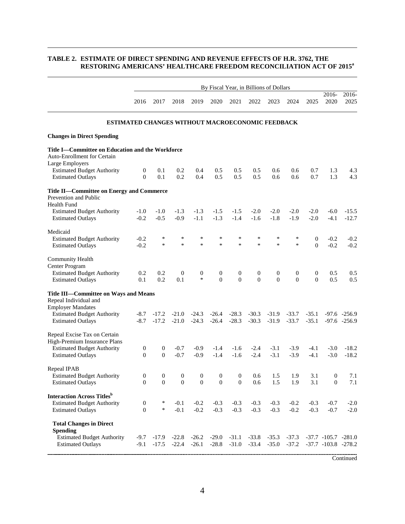#### **TABLE 2. ESTIMATE OF DIRECT SPENDING AND REVENUE EFFECTS OF H.R. 3762, THE RESTORING AMERICANS' HEALTHCARE FREEDOM RECONCILIATION ACT OF 2015<sup>a</sup>**

|                                                                                                                |                                                  |                          |                         |                            |                                  |                                    |                                    | By Fiscal Year, in Billions of Dollars |                                    |                                  |                                                        |                                  |
|----------------------------------------------------------------------------------------------------------------|--------------------------------------------------|--------------------------|-------------------------|----------------------------|----------------------------------|------------------------------------|------------------------------------|----------------------------------------|------------------------------------|----------------------------------|--------------------------------------------------------|----------------------------------|
|                                                                                                                | 2016                                             | 2017                     | 2018                    | 2019                       | 2020                             | 2021                               | 2022                               | 2023                                   | 2024                               | 2025                             | 2016-<br>2020                                          | 2016-<br>2025                    |
|                                                                                                                | ESTIMATED CHANGES WITHOUT MACROECONOMIC FEEDBACK |                          |                         |                            |                                  |                                    |                                    |                                        |                                    |                                  |                                                        |                                  |
| <b>Changes in Direct Spending</b>                                                                              |                                                  |                          |                         |                            |                                  |                                    |                                    |                                        |                                    |                                  |                                                        |                                  |
| Title I-Committee on Education and the Workforce<br>Auto-Enrollment for Certain<br>Large Employers             |                                                  |                          |                         |                            |                                  |                                    |                                    |                                        |                                    |                                  |                                                        |                                  |
| <b>Estimated Budget Authority</b><br><b>Estimated Outlays</b>                                                  | 0<br>$\mathbf{0}$                                | 0.1<br>0.1               | 0.2<br>0.2              | 0.4<br>0.4                 | 0.5<br>0.5                       | 0.5<br>0.5                         | 0.5<br>0.5                         | 0.6<br>0.6                             | 0.6<br>0.6                         | 0.7<br>0.7                       | 1.3<br>1.3                                             | 4.3<br>4.3                       |
| Title II—Committee on Energy and Commerce<br>Prevention and Public<br><b>Health Fund</b>                       |                                                  |                          |                         |                            |                                  |                                    |                                    |                                        |                                    |                                  |                                                        |                                  |
| <b>Estimated Budget Authority</b><br><b>Estimated Outlays</b>                                                  | $-1.0$<br>$-0.2$                                 | $-1.0$<br>$-0.5$         | $-1.3$<br>$-0.9$        | $-1.3$<br>$-1.1$           | $-1.5$<br>$-1.3$                 | $-1.5$<br>$-1.4$                   | $-2.0$<br>$-1.6$                   | $-2.0$<br>$-1.8$                       | $-2.0$<br>$-1.9$                   | $-2.0$<br>$-2.0$                 | $-6.0$<br>$-4.1$                                       | $-15.5$<br>$-12.7$               |
| Medicaid<br><b>Estimated Budget Authority</b><br><b>Estimated Outlays</b>                                      | $-0.2$<br>$-0.2$                                 | $\ast$<br>$\ast$         | *<br>$\ast$             | $\ast$<br>$\ast$           | $\ast$<br>$\ast$                 | $\ast$<br>$\ast$                   | $\ast$<br>$\ast$                   | *<br>$\ast$                            | $\ast$<br>$\ast$                   | $\mathbf{0}$<br>$\Omega$         | $-0.2$<br>$-0.2$                                       | $-0.2$<br>$-0.2$                 |
| Community Health<br>Center Program                                                                             |                                                  |                          |                         |                            |                                  |                                    |                                    |                                        |                                    |                                  |                                                        |                                  |
| <b>Estimated Budget Authority</b><br><b>Estimated Outlays</b>                                                  | 0.2<br>0.1                                       | 0.2<br>0.2               | $\boldsymbol{0}$<br>0.1 | $\boldsymbol{0}$<br>$\ast$ | $\boldsymbol{0}$<br>$\mathbf{0}$ | $\boldsymbol{0}$<br>$\overline{0}$ | $\boldsymbol{0}$<br>$\overline{0}$ | $\boldsymbol{0}$<br>$\theta$           | $\boldsymbol{0}$<br>$\overline{0}$ | $\boldsymbol{0}$<br>$\mathbf{0}$ | 0.5<br>0.5                                             | 0.5<br>0.5                       |
| Title III-Committee on Ways and Means<br>Repeal Individual and<br><b>Employer Mandates</b>                     |                                                  |                          |                         |                            |                                  |                                    |                                    |                                        |                                    |                                  |                                                        |                                  |
| <b>Estimated Budget Authority</b><br><b>Estimated Outlays</b>                                                  | $-8.7$<br>$-8.7$                                 | $-17.2$<br>$-17.2$       | $-21.0$<br>$-21.0$      | $-24.3$<br>$-24.3$         | $-26.4$<br>$-26.4$               | $-28.3$<br>$-28.3$                 | $-30.3$<br>$-30.3$                 | $-31.9$<br>$-31.9$                     | $-33.7$<br>$-33.7$                 | $-35.1$<br>$-35.1$               |                                                        | $-97.6 -256.9$<br>$-97.6 -256.9$ |
| Repeal Excise Tax on Certain<br>High-Premium Insurance Plans                                                   |                                                  |                          |                         |                            |                                  |                                    |                                    |                                        |                                    |                                  |                                                        |                                  |
| <b>Estimated Budget Authority</b><br><b>Estimated Outlays</b>                                                  | $\mathbf{0}$<br>$\Omega$                         | $\mathbf{0}$<br>$\Omega$ | $-0.7$<br>$-0.7$        | $-0.9$<br>$-0.9$           | $-1.4$<br>$-1.4$                 | $-1.6$<br>$-1.6$                   | $-2.4$<br>$-2.4$                   | $-3.1$<br>$-3.1$                       | $-3.9$<br>$-3.9$                   | $-4.1$<br>$-4.1$                 | $-3.0$<br>$-3.0$                                       | $-18.2$<br>$-18.2$               |
| Repeal IPAB<br><b>Estimated Budget Authority</b>                                                               | $\mathbf{0}$                                     | $\mathbf{0}$             | $\mathbf{0}$            | $\boldsymbol{0}$           | $\mathbf{0}$                     | $\boldsymbol{0}$                   | 0.6                                | 1.5                                    | 1.9                                | 3.1                              | $\mathbf{0}$                                           | 7.1                              |
| <b>Estimated Outlays</b>                                                                                       | $\boldsymbol{0}$                                 | $\boldsymbol{0}$         | $\boldsymbol{0}$        | $\boldsymbol{0}$           | $\boldsymbol{0}$                 | $\boldsymbol{0}$                   | 0.6                                | 1.5                                    | 1.9                                | 3.1                              | $\boldsymbol{0}$                                       | 7.1                              |
| <b>Interaction Across Titles</b> <sup>b</sup><br><b>Estimated Budget Authority</b><br><b>Estimated Outlays</b> | $\boldsymbol{0}$<br>$\Omega$                     | ∗<br>$\ast$              | $-0.1$<br>$-0.1$        | $-0.2$<br>$-0.2$           | $-0.3$<br>$-0.3$                 | $-0.3$<br>$-0.3$                   | $-0.3$<br>$-0.3$                   | $-0.3$<br>$-0.3$                       | $-0.2$<br>$-0.2$                   | $-0.3$<br>$-0.3$                 | $-0.7$<br>$-0.7$                                       | $-2.0$<br>$-2.0$                 |
| <b>Total Changes in Direct</b><br><b>Spending</b>                                                              |                                                  |                          |                         |                            |                                  |                                    |                                    |                                        |                                    |                                  |                                                        |                                  |
| <b>Estimated Budget Authority</b><br><b>Estimated Outlays</b>                                                  | $-9.7$<br>$-9.1$                                 | $-17.9$<br>$-17.5$       | $-22.8$<br>$-22.4$      | $-26.2$<br>$-26.1$         | $-29.0$<br>$-28.8$               | $-31.1$<br>$-31.0$                 | $-33.8$<br>$-33.4$                 | $-35.3$<br>$-35.0$                     | $-37.3$<br>$-37.2$                 |                                  | $-37.7$ $-105.7$ $-281.0$<br>$-37.7$ $-103.8$ $-278.2$ |                                  |

Continued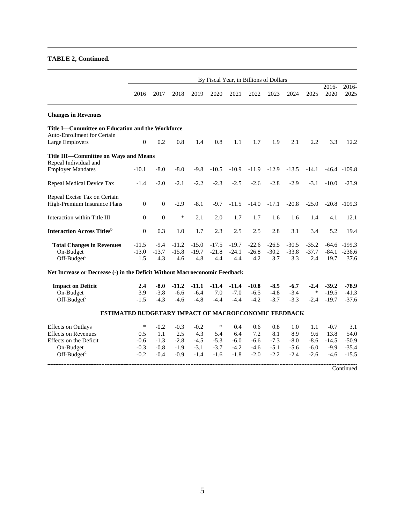#### **TABLE 2, Continued.**

|                                                                            |                  |              |         |         |         |         | By Fiscal Year, in Billions of Dollars |         |         |         |               |                 |
|----------------------------------------------------------------------------|------------------|--------------|---------|---------|---------|---------|----------------------------------------|---------|---------|---------|---------------|-----------------|
|                                                                            | 2016             | 2017         | 2018    | 2019    | 2020    | 2021    | 2022                                   | 2023    | 2024    | 2025    | 2016-<br>2020 | 2016-<br>2025   |
| <b>Changes in Revenues</b>                                                 |                  |              |         |         |         |         |                                        |         |         |         |               |                 |
| Title I-Committee on Education and the Workforce                           |                  |              |         |         |         |         |                                        |         |         |         |               |                 |
| <b>Auto-Enrollment for Certain</b>                                         |                  |              |         |         |         |         |                                        |         |         |         |               |                 |
| Large Employers                                                            | $\boldsymbol{0}$ | 0.2          | 0.8     | 1.4     | 0.8     | 1.1     | 1.7                                    | 1.9     | 2.1     | 2.2     | 3.3           | 12.2            |
| Title III-Committee on Ways and Means<br>Repeal Individual and             |                  |              |         |         |         |         |                                        |         |         |         |               |                 |
| <b>Employer Mandates</b>                                                   | $-10.1$          | $-8.0$       | $-8.0$  | $-9.8$  | $-10.5$ | $-10.9$ | $-11.9$                                | $-12.9$ | $-13.5$ | $-14.1$ |               | $-46.4 - 109.8$ |
| Repeal Medical Device Tax                                                  | $-1.4$           | $-2.0$       | $-2.1$  | $-2.2$  | $-2.3$  | $-2.5$  | $-2.6$                                 | $-2.8$  | $-2.9$  | $-3.1$  | $-10.0$       | $-23.9$         |
| Repeal Excise Tax on Certain                                               |                  |              |         |         |         |         |                                        |         |         |         |               |                 |
| High-Premium Insurance Plans                                               | $\mathbf{0}$     | $\mathbf{0}$ | $-2.9$  | $-8.1$  | $-9.7$  | $-11.5$ | $-14.0$                                | $-17.1$ | $-20.8$ | $-25.0$ |               | $-20.8 - 109.3$ |
| Interaction within Title III                                               | $\Omega$         | $\mathbf{0}$ | ∗       | 2.1     | 2.0     | 1.7     | 1.7                                    | 1.6     | 1.6     | 1.4     | 4.1           | 12.1            |
| <b>Interaction Across Titles</b> <sup>b</sup>                              | $\boldsymbol{0}$ | 0.3          | 1.0     | 1.7     | 2.3     | 2.5     | 2.5                                    | 2.8     | 3.1     | 3.4     | 5.2           | 19.4            |
| <b>Total Changes in Revenues</b>                                           | $-11.5$          | $-9.4$       | $-11.2$ | $-15.0$ | $-17.5$ | $-19.7$ | $-22.6$                                | $-26.5$ | $-30.5$ | $-35.2$ |               | $-64.6 - 199.3$ |
| On-Budget                                                                  | $-13.0$          | $-13.7$      | $-15.8$ | $-19.7$ | $-21.8$ | $-24.1$ | $-26.8$                                | $-30.2$ | $-33.8$ | $-37.7$ |               | $-84.1 - 236.6$ |
| Off-Budget <sup>c</sup>                                                    | 1.5              | 4.3          | 4.6     | 4.8     | 4.4     | 4.4     | 4.2                                    | 3.7     | 3.3     | 2.4     | 19.7          | 37.6            |
| Net Increase or Decrease (-) in the Deficit Without Macroeconomic Feedback |                  |              |         |         |         |         |                                        |         |         |         |               |                 |
| <b>Impact on Deficit</b>                                                   | 2.4              | $-8.0$       | $-11.2$ | $-11.1$ | $-11.4$ | $-11.4$ | $-10.8$                                | $-8.5$  | $-6.7$  | $-2.4$  | $-39.2$       | $-78.9$         |
| On-Budget                                                                  | 3.9              | $-3.8$       | $-6.6$  | $-6.4$  | 7.0     | $-7.0$  | $-6.5$                                 | $-4.8$  | $-3.4$  | $\ast$  | $-19.5$       | $-41.3$         |
| Off-Budget <sup>c</sup>                                                    | $-1.5$           | $-4.3$       | $-4.6$  | $-4.8$  | $-4.4$  | $-4.4$  | $-4.2$                                 | $-3.7$  | $-3.3$  | $-2.4$  | $-19.7$       | $-37.6$         |
| ESTIMATED BUDGETARY IMPACT OF MACROECONOMIC FEEDBACK                       |                  |              |         |         |         |         |                                        |         |         |         |               |                 |
| <b>Effects</b> on Outlays                                                  | $\ast$           | $-0.2$       | $-0.3$  | $-0.2$  | $\ast$  | 0.4     | 0.6                                    | 0.8     | 1.0     | 1.1     | $-0.7$        | 3.1             |
| <b>Effects on Revenues</b>                                                 | 0.5              | 1.1          | 2.5     | 4.3     | 5.4     | 6.4     | 7.2                                    | 8.1     | 8.9     | 9.6     | 13.8          | 54.0            |
| Effects on the Deficit                                                     | $-0.6$           | $-1.3$       | $-2.8$  | $-4.5$  | $-5.3$  | $-6.0$  | $-6.6$                                 | $-7.3$  | $-8.0$  | $-8.6$  | $-14.5$       | $-50.9$         |
| On-Budget                                                                  | $-0.3$           | $-0.8$       | $-1.9$  | $-3.1$  | $-3.7$  | $-4.2$  | $-4.6$                                 | $-5.1$  | $-5.6$  | $-6.0$  | $-9.9$        | $-35.4$         |
| $Off-Budgetd$                                                              | $-0.2$           | $-0.4$       | $-0.9$  | $-1.4$  | $-1.6$  | $-1.8$  | $-2.0$                                 | $-2.2$  | $-2.4$  | $-2.6$  | $-4.6$        | $-15.5$         |
|                                                                            |                  |              |         |         |         |         |                                        |         |         |         |               | Continued       |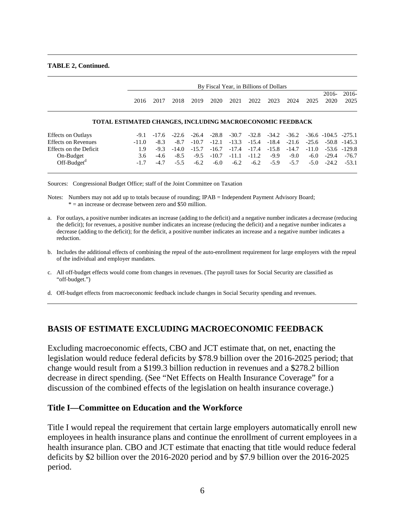#### **TABLE 2, Continued.**

|                                     |                                                           | By Fiscal Year, in Billions of Dollars |        |         |         |      |      |      |                                                                                                  |      |               |                                                          |  |
|-------------------------------------|-----------------------------------------------------------|----------------------------------------|--------|---------|---------|------|------|------|--------------------------------------------------------------------------------------------------|------|---------------|----------------------------------------------------------|--|
|                                     | 2016                                                      | 2017                                   | 2018   | 2019    | 2020    | 2021 | 2022 | 2023 | 2024                                                                                             | 2025 | 2016-<br>2020 | 2016-<br>2025                                            |  |
|                                     | TOTAL ESTIMATED CHANGES, INCLUDING MACROECONOMIC FEEDBACK |                                        |        |         |         |      |      |      |                                                                                                  |      |               |                                                          |  |
| <b>Effects on Outlays</b>           |                                                           |                                        |        |         |         |      |      |      | $-9.1$ $-17.6$ $-22.6$ $-26.4$ $-28.8$ $-30.7$ $-32.8$ $-34.2$ $-36.2$ $-36.6$ $-104.5$ $-275.1$ |      |               |                                                          |  |
| <b>Effects on Revenues</b><br>$  -$ | $-11.0$                                                   | $-8.3$                                 | $-8.7$ | $-10.7$ | $-12.1$ |      |      |      |                                                                                                  |      |               | $-13.3$ $-15.4$ $-18.4$ $-21.6$ $-25.6$ $-50.8$ $-145.3$ |  |

| Lincels on Outlays     |  |  |  |  |  | <u> - געושי טווער - געטער בורטי - געטער - געטי - דעס - דעם - דער - דו</u>                      |  |
|------------------------|--|--|--|--|--|------------------------------------------------------------------------------------------------|--|
| Effects on Revenues    |  |  |  |  |  | $-11.0$ $-8.3$ $-8.7$ $-10.7$ $-12.1$ $-13.3$ $-15.4$ $-18.4$ $-21.6$ $-25.6$ $-50.8$ $-145.3$ |  |
| Effects on the Deficit |  |  |  |  |  | $1.9$ $-9.3$ $-14.0$ $-15.7$ $-16.7$ $-17.4$ $-17.4$ $-15.8$ $-14.7$ $-11.0$ $-53.6$ $-129.8$  |  |
| On-Budget              |  |  |  |  |  | $3.6$ $-4.6$ $-8.5$ $-9.5$ $-10.7$ $-11.1$ $-11.2$ $-9.9$ $-9.0$ $-6.0$ $-29.4$ $-76.7$        |  |
| $Off-Budgetd$          |  |  |  |  |  | $-1.7$ $-4.7$ $-5.5$ $-6.2$ $-6.0$ $-6.2$ $-6.2$ $-5.9$ $-5.7$ $-5.0$ $-24.2$ $-53.1$          |  |
|                        |  |  |  |  |  |                                                                                                |  |

Sources: Congressional Budget Office; staff of the Joint Committee on Taxation

Notes: Numbers may not add up to totals because of rounding; IPAB = Independent Payment Advisory Board; \* = an increase or decrease between zero and \$50 million.

a. For outlays, a positive number indicates an increase (adding to the deficit) and a negative number indicates a decrease (reducing the deficit); for revenues, a positive number indicates an increase (reducing the deficit) and a negative number indicates a decrease (adding to the deficit); for the deficit, a positive number indicates an increase and a negative number indicates a reduction.

b. Includes the additional effects of combining the repeal of the auto-enrollment requirement for large employers with the repeal of the individual and employer mandates.

c. All off-budget effects would come from changes in revenues. (The payroll taxes for Social Security are classified as "off-budget.")

d. Off-budget effects from macroeconomic feedback include changes in Social Security spending and revenues.

#### **BASIS OF ESTIMATE EXCLUDING MACROECONOMIC FEEDBACK**

Excluding macroeconomic effects, CBO and JCT estimate that, on net, enacting the legislation would reduce federal deficits by \$78.9 billion over the 2016-2025 period; that change would result from a \$199.3 billion reduction in revenues and a \$278.2 billion decrease in direct spending. (See "Net Effects on Health Insurance Coverage" for a discussion of the combined effects of the legislation on health insurance coverage.)

#### **Title I—Committee on Education and the Workforce**

Title I would repeal the requirement that certain large employers automatically enroll new employees in health insurance plans and continue the enrollment of current employees in a health insurance plan. CBO and JCT estimate that enacting that title would reduce federal deficits by \$2 billion over the 2016-2020 period and by \$7.9 billion over the 2016-2025 period.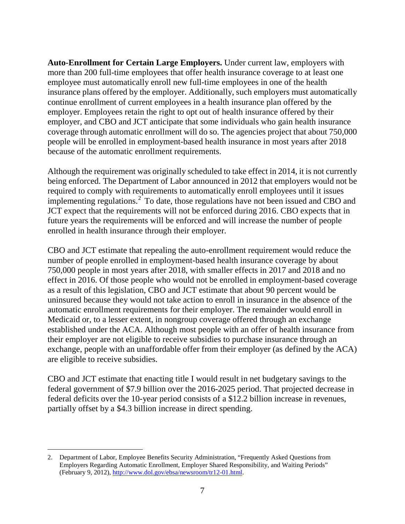**Auto-Enrollment for Certain Large Employers.** Under current law, employers with more than 200 full-time employees that offer health insurance coverage to at least one employee must automatically enroll new full-time employees in one of the health insurance plans offered by the employer. Additionally, such employers must automatically continue enrollment of current employees in a health insurance plan offered by the employer. Employees retain the right to opt out of health insurance offered by their employer, and CBO and JCT anticipate that some individuals who gain health insurance coverage through automatic enrollment will do so. The agencies project that about 750,000 people will be enrolled in employment-based health insurance in most years after 2018 because of the automatic enrollment requirements.

Although the requirement was originally scheduled to take effect in 2014, it is not currently being enforced. The Department of Labor announced in 2012 that employers would not be required to comply with requirements to automatically enroll employees until it issues implementing regulations.<sup>[2](#page-6-0)</sup> To date, those regulations have not been issued and CBO and JCT expect that the requirements will not be enforced during 2016. CBO expects that in future years the requirements will be enforced and will increase the number of people enrolled in health insurance through their employer.

CBO and JCT estimate that repealing the auto-enrollment requirement would reduce the number of people enrolled in employment-based health insurance coverage by about 750,000 people in most years after 2018, with smaller effects in 2017 and 2018 and no effect in 2016. Of those people who would not be enrolled in employment-based coverage as a result of this legislation, CBO and JCT estimate that about 90 percent would be uninsured because they would not take action to enroll in insurance in the absence of the automatic enrollment requirements for their employer. The remainder would enroll in Medicaid or, to a lesser extent, in nongroup coverage offered through an exchange established under the ACA. Although most people with an offer of health insurance from their employer are not eligible to receive subsidies to purchase insurance through an exchange, people with an unaffordable offer from their employer (as defined by the ACA) are eligible to receive subsidies.

CBO and JCT estimate that enacting title I would result in net budgetary savings to the federal government of \$7.9 billion over the 2016-2025 period. That projected decrease in federal deficits over the 10-year period consists of a \$12.2 billion increase in revenues, partially offset by a \$4.3 billion increase in direct spending.

<span id="page-6-0"></span> <sup>2.</sup> Department of Labor, Employee Benefits Security Administration, "Frequently Asked Questions from Employers Regarding Automatic Enrollment, Employer Shared Responsibility, and Waiting Periods" (February 9, 2012), [http://www.dol.gov/ebsa/newsroom/tr12-01.html.](http://www.dol.gov/ebsa/newsroom/tr12-01.html)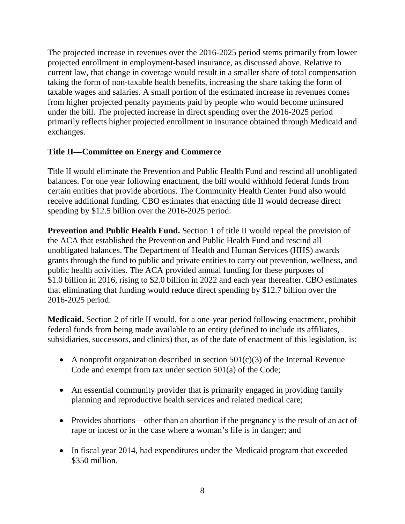The projected increase in revenues over the 2016-2025 period stems primarily from lower projected enrollment in employment-based insurance, as discussed above. Relative to current law, that change in coverage would result in a smaller share of total compensation taking the form of non-taxable health benefits, increasing the share taking the form of taxable wages and salaries. A small portion of the estimated increase in revenues comes from higher projected penalty payments paid by people who would become uninsured under the bill. The projected increase in direct spending over the 2016-2025 period primarily reflects higher projected enrollment in insurance obtained through Medicaid and exchanges.

# **Title II—Committee on Energy and Commerce**

Title II would eliminate the Prevention and Public Health Fund and rescind all unobligated balances. For one year following enactment, the bill would withhold federal funds from certain entities that provide abortions. The Community Health Center Fund also would receive additional funding. CBO estimates that enacting title II would decrease direct spending by \$12.5 billion over the 2016-2025 period.

**Prevention and Public Health Fund.** Section 1 of title II would repeal the provision of the ACA that established the Prevention and Public Health Fund and rescind all unobligated balances. The Department of Health and Human Services (HHS) awards grants through the fund to public and private entities to carry out prevention, wellness, and public health activities. The ACA provided annual funding for these purposes of \$1.0 billion in 2016, rising to \$2.0 billion in 2022 and each year thereafter. CBO estimates that eliminating that funding would reduce direct spending by \$12.7 billion over the 2016-2025 period.

**Medicaid.** Section 2 of title II would, for a one-year period following enactment, prohibit federal funds from being made available to an entity (defined to include its affiliates, subsidiaries, successors, and clinics) that, as of the date of enactment of this legislation, is:

- A nonprofit organization described in section  $501(c)(3)$  of the Internal Revenue Code and exempt from tax under section 501(a) of the Code;
- An essential community provider that is primarily engaged in providing family planning and reproductive health services and related medical care;
- Provides abortions—other than an abortion if the pregnancy is the result of an act of rape or incest or in the case where a woman's life is in danger; and
- In fiscal year 2014, had expenditures under the Medicaid program that exceeded \$350 million.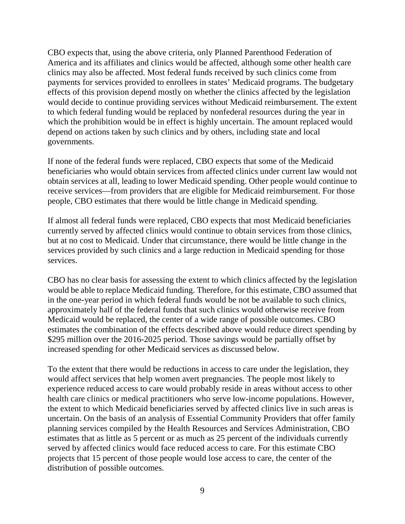CBO expects that, using the above criteria, only Planned Parenthood Federation of America and its affiliates and clinics would be affected, although some other health care clinics may also be affected. Most federal funds received by such clinics come from payments for services provided to enrollees in states' Medicaid programs. The budgetary effects of this provision depend mostly on whether the clinics affected by the legislation would decide to continue providing services without Medicaid reimbursement. The extent to which federal funding would be replaced by nonfederal resources during the year in which the prohibition would be in effect is highly uncertain. The amount replaced would depend on actions taken by such clinics and by others, including state and local governments.

If none of the federal funds were replaced, CBO expects that some of the Medicaid beneficiaries who would obtain services from affected clinics under current law would not obtain services at all, leading to lower Medicaid spending. Other people would continue to receive services—from providers that are eligible for Medicaid reimbursement. For those people, CBO estimates that there would be little change in Medicaid spending.

If almost all federal funds were replaced, CBO expects that most Medicaid beneficiaries currently served by affected clinics would continue to obtain services from those clinics, but at no cost to Medicaid. Under that circumstance, there would be little change in the services provided by such clinics and a large reduction in Medicaid spending for those services.

CBO has no clear basis for assessing the extent to which clinics affected by the legislation would be able to replace Medicaid funding. Therefore, for this estimate, CBO assumed that in the one-year period in which federal funds would be not be available to such clinics, approximately half of the federal funds that such clinics would otherwise receive from Medicaid would be replaced, the center of a wide range of possible outcomes. CBO estimates the combination of the effects described above would reduce direct spending by \$295 million over the 2016-2025 period. Those savings would be partially offset by increased spending for other Medicaid services as discussed below.

To the extent that there would be reductions in access to care under the legislation, they would affect services that help women avert pregnancies. The people most likely to experience reduced access to care would probably reside in areas without access to other health care clinics or medical practitioners who serve low-income populations. However, the extent to which Medicaid beneficiaries served by affected clinics live in such areas is uncertain. On the basis of an analysis of Essential Community Providers that offer family planning services compiled by the Health Resources and Services Administration, CBO estimates that as little as 5 percent or as much as 25 percent of the individuals currently served by affected clinics would face reduced access to care. For this estimate CBO projects that 15 percent of those people would lose access to care, the center of the distribution of possible outcomes.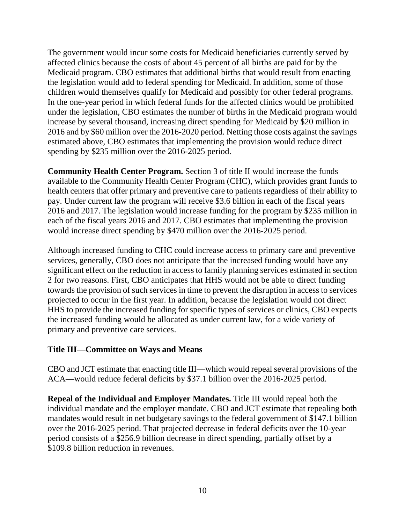The government would incur some costs for Medicaid beneficiaries currently served by affected clinics because the costs of about 45 percent of all births are paid for by the Medicaid program. CBO estimates that additional births that would result from enacting the legislation would add to federal spending for Medicaid. In addition, some of those children would themselves qualify for Medicaid and possibly for other federal programs. In the one-year period in which federal funds for the affected clinics would be prohibited under the legislation, CBO estimates the number of births in the Medicaid program would increase by several thousand, increasing direct spending for Medicaid by \$20 million in 2016 and by \$60 million over the 2016-2020 period. Netting those costs against the savings estimated above, CBO estimates that implementing the provision would reduce direct spending by \$235 million over the 2016-2025 period.

**Community Health Center Program.** Section 3 of title II would increase the funds available to the Community Health Center Program (CHC), which provides grant funds to health centers that offer primary and preventive care to patients regardless of their ability to pay. Under current law the program will receive \$3.6 billion in each of the fiscal years 2016 and 2017. The legislation would increase funding for the program by \$235 million in each of the fiscal years 2016 and 2017. CBO estimates that implementing the provision would increase direct spending by \$470 million over the 2016-2025 period.

Although increased funding to CHC could increase access to primary care and preventive services, generally, CBO does not anticipate that the increased funding would have any significant effect on the reduction in access to family planning services estimated in section 2 for two reasons. First, CBO anticipates that HHS would not be able to direct funding towards the provision of such services in time to prevent the disruption in access to services projected to occur in the first year. In addition, because the legislation would not direct HHS to provide the increased funding for specific types of services or clinics, CBO expects the increased funding would be allocated as under current law, for a wide variety of primary and preventive care services.

# **Title III—Committee on Ways and Means**

CBO and JCT estimate that enacting title III—which would repeal several provisions of the ACA—would reduce federal deficits by \$37.1 billion over the 2016-2025 period.

**Repeal of the Individual and Employer Mandates.** Title III would repeal both the individual mandate and the employer mandate. CBO and JCT estimate that repealing both mandates would result in net budgetary savings to the federal government of \$147.1 billion over the 2016-2025 period. That projected decrease in federal deficits over the 10-year period consists of a \$256.9 billion decrease in direct spending, partially offset by a \$109.8 billion reduction in revenues.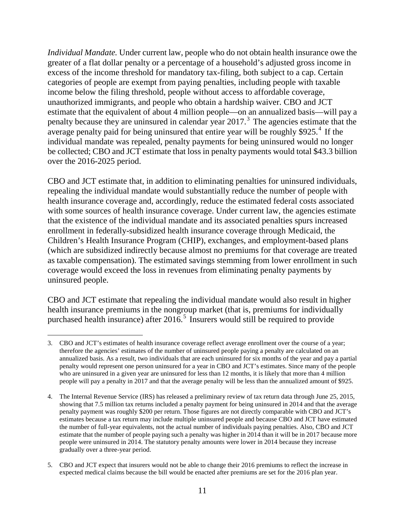*Individual Mandate.* Under current law, people who do not obtain health insurance owe the greater of a flat dollar penalty or a percentage of a household's adjusted gross income in excess of the income threshold for mandatory tax-filing, both subject to a cap. Certain categories of people are exempt from paying penalties, including people with taxable income below the filing threshold, people without access to affordable coverage, unauthorized immigrants, and people who obtain a hardship waiver. CBO and JCT estimate that the equivalent of about 4 million people—on an annualized basis—will pay a penalty because they are uninsured in calendar year 2017. [3](#page-10-0) The agencies estimate that the average penalty paid for being uninsured that entire year will be roughly  $$925.<sup>4</sup>$  $$925.<sup>4</sup>$  $$925.<sup>4</sup>$  If the individual mandate was repealed, penalty payments for being uninsured would no longer be collected; CBO and JCT estimate that loss in penalty payments would total \$43.3 billion over the 2016-2025 period.

CBO and JCT estimate that, in addition to eliminating penalties for uninsured individuals, repealing the individual mandate would substantially reduce the number of people with health insurance coverage and, accordingly, reduce the estimated federal costs associated with some sources of health insurance coverage. Under current law, the agencies estimate that the existence of the individual mandate and its associated penalties spurs increased enrollment in federally-subsidized health insurance coverage through Medicaid, the Children's Health Insurance Program (CHIP), exchanges, and employment-based plans (which are subsidized indirectly because almost no premiums for that coverage are treated as taxable compensation). The estimated savings stemming from lower enrollment in such coverage would exceed the loss in revenues from eliminating penalty payments by uninsured people.

CBO and JCT estimate that repealing the individual mandate would also result in higher health insurance premiums in the nongroup market (that is, premiums for individually purchased health insurance) after  $2016<sup>5</sup>$  $2016<sup>5</sup>$  $2016<sup>5</sup>$  Insurers would still be required to provide

<span id="page-10-0"></span> <sup>3.</sup> CBO and JCT's estimates of health insurance coverage reflect average enrollment over the course of a year; therefore the agencies' estimates of the number of uninsured people paying a penalty are calculated on an annualized basis. As a result, two individuals that are each uninsured for six months of the year and pay a partial penalty would represent one person uninsured for a year in CBO and JCT's estimates. Since many of the people who are uninsured in a given year are uninsured for less than 12 months, it is likely that more than 4 million people will pay a penalty in 2017 and that the average penalty will be less than the annualized amount of \$925.

<span id="page-10-1"></span><sup>4.</sup> The Internal Revenue Service (IRS) has released a preliminary review of tax return data through June 25, 2015, showing that 7.5 million tax returns included a penalty payment for being uninsured in 2014 and that the average penalty payment was roughly \$200 per return. Those figures are not directly comparable with CBO and JCT's estimates because a tax return may include multiple uninsured people and because CBO and JCT have estimated the number of full-year equivalents, not the actual number of individuals paying penalties. Also, CBO and JCT estimate that the number of people paying such a penalty was higher in 2014 than it will be in 2017 because more people were uninsured in 2014. The statutory penalty amounts were lower in 2014 because they increase gradually over a three-year period.

<span id="page-10-2"></span><sup>5.</sup> CBO and JCT expect that insurers would not be able to change their 2016 premiums to reflect the increase in expected medical claims because the bill would be enacted after premiums are set for the 2016 plan year.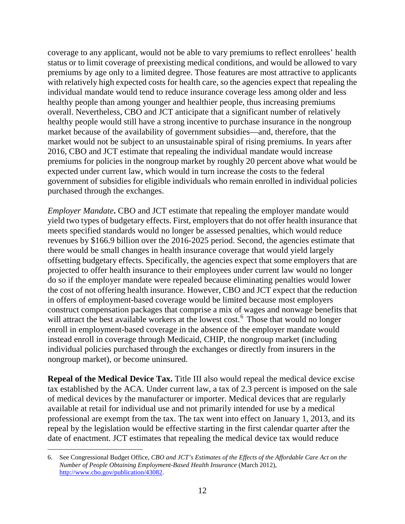coverage to any applicant, would not be able to vary premiums to reflect enrollees' health status or to limit coverage of preexisting medical conditions, and would be allowed to vary premiums by age only to a limited degree. Those features are most attractive to applicants with relatively high expected costs for health care, so the agencies expect that repealing the individual mandate would tend to reduce insurance coverage less among older and less healthy people than among younger and healthier people, thus increasing premiums overall. Nevertheless, CBO and JCT anticipate that a significant number of relatively healthy people would still have a strong incentive to purchase insurance in the nongroup market because of the availability of government subsidies—and, therefore, that the market would not be subject to an unsustainable spiral of rising premiums. In years after 2016, CBO and JCT estimate that repealing the individual mandate would increase premiums for policies in the nongroup market by roughly 20 percent above what would be expected under current law, which would in turn increase the costs to the federal government of subsidies for eligible individuals who remain enrolled in individual policies purchased through the exchanges.

*Employer Mandate*. CBO and JCT estimate that repealing the employer mandate would yield two types of budgetary effects. First, employers that do not offer health insurance that meets specified standards would no longer be assessed penalties, which would reduce revenues by \$166.9 billion over the 2016-2025 period. Second, the agencies estimate that there would be small changes in health insurance coverage that would yield largely offsetting budgetary effects. Specifically, the agencies expect that some employers that are projected to offer health insurance to their employees under current law would no longer do so if the employer mandate were repealed because eliminating penalties would lower the cost of not offering health insurance. However, CBO and JCT expect that the reduction in offers of employment-based coverage would be limited because most employers construct compensation packages that comprise a mix of wages and nonwage benefits that will attract the best available workers at the lowest cost.<sup>[6](#page-11-0)</sup> Those that would no longer enroll in employment-based coverage in the absence of the employer mandate would instead enroll in coverage through Medicaid, CHIP, the nongroup market (including individual policies purchased through the exchanges or directly from insurers in the nongroup market), or become uninsured.

**Repeal of the Medical Device Tax.** Title III also would repeal the medical device excise tax established by the ACA. Under current law, a tax of 2.3 percent is imposed on the sale of medical devices by the manufacturer or importer. Medical devices that are regularly available at retail for individual use and not primarily intended for use by a medical professional are exempt from the tax. The tax went into effect on January 1, 2013, and its repeal by the legislation would be effective starting in the first calendar quarter after the date of enactment. JCT estimates that repealing the medical device tax would reduce

<span id="page-11-0"></span> <sup>6.</sup> See Congressional Budget Office, *CBO and JCT's Estimates of the Effects of the Affordable Care Act on the Number of People Obtaining Employment-Based Health Insurance* (March 2012), [http://www.cbo.gov/publication/43082.](http://www.cbo.gov/publication/43082)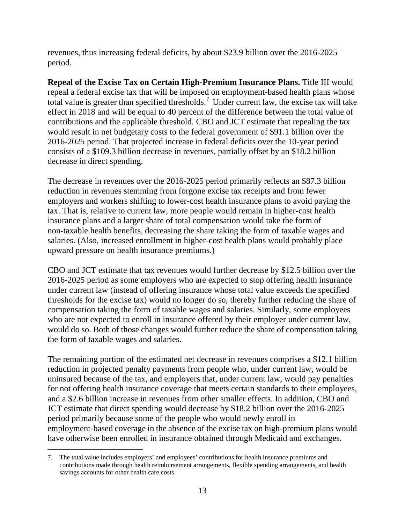revenues, thus increasing federal deficits, by about \$23.9 billion over the 2016-2025 period.

**Repeal of the Excise Tax on Certain High-Premium Insurance Plans.** Title III would repeal a federal excise tax that will be imposed on employment-based health plans whose total value is greater than specified thresholds.<sup>[7](#page-12-0)</sup> Under current law, the excise tax will take effect in 2018 and will be equal to 40 percent of the difference between the total value of contributions and the applicable threshold. CBO and JCT estimate that repealing the tax would result in net budgetary costs to the federal government of \$91.1 billion over the 2016-2025 period. That projected increase in federal deficits over the 10-year period consists of a \$109.3 billion decrease in revenues, partially offset by an \$18.2 billion decrease in direct spending.

The decrease in revenues over the 2016-2025 period primarily reflects an \$87.3 billion reduction in revenues stemming from forgone excise tax receipts and from fewer employers and workers shifting to lower-cost health insurance plans to avoid paying the tax. That is, relative to current law, more people would remain in higher-cost health insurance plans and a larger share of total compensation would take the form of non-taxable health benefits, decreasing the share taking the form of taxable wages and salaries. (Also, increased enrollment in higher-cost health plans would probably place upward pressure on health insurance premiums.)

CBO and JCT estimate that tax revenues would further decrease by \$12.5 billion over the 2016-2025 period as some employers who are expected to stop offering health insurance under current law (instead of offering insurance whose total value exceeds the specified thresholds for the excise tax) would no longer do so, thereby further reducing the share of compensation taking the form of taxable wages and salaries. Similarly, some employees who are not expected to enroll in insurance offered by their employer under current law, would do so. Both of those changes would further reduce the share of compensation taking the form of taxable wages and salaries.

The remaining portion of the estimated net decrease in revenues comprises a \$12.1 billion reduction in projected penalty payments from people who, under current law, would be uninsured because of the tax, and employers that, under current law, would pay penalties for not offering health insurance coverage that meets certain standards to their employees, and a \$2.6 billion increase in revenues from other smaller effects. In addition, CBO and JCT estimate that direct spending would decrease by \$18.2 billion over the 2016-2025 period primarily because some of the people who would newly enroll in employment-based coverage in the absence of the excise tax on high-premium plans would have otherwise been enrolled in insurance obtained through Medicaid and exchanges.

<span id="page-12-0"></span> <sup>7.</sup> The total value includes employers' and employees' contributions for health insurance premiums and contributions made through health reimbursement arrangements, flexible spending arrangements, and health savings accounts for other health care costs.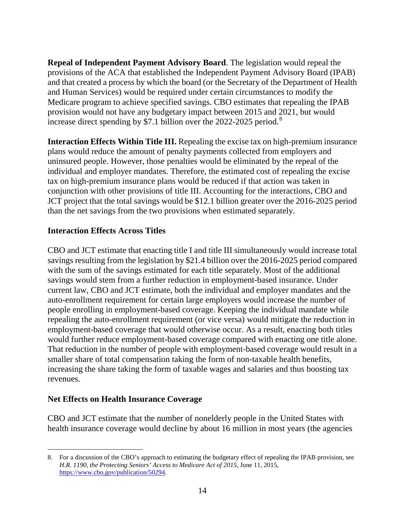**Repeal of Independent Payment Advisory Board**. The legislation would repeal the provisions of the ACA that established the Independent Payment Advisory Board (IPAB) and that created a process by which the board (or the Secretary of the Department of Health and Human Services) would be required under certain circumstances to modify the Medicare program to achieve specified savings. CBO estimates that repealing the IPAB provision would not have any budgetary impact between 2015 and 2021, but would increase direct spending by \$7.1 billion over the  $2022-2025$  period.<sup>[8](#page-13-0)</sup>

**Interaction Effects Within Title III.** Repealing the excise tax on high-premium insurance plans would reduce the amount of penalty payments collected from employers and uninsured people. However, those penalties would be eliminated by the repeal of the individual and employer mandates. Therefore, the estimated cost of repealing the excise tax on high-premium insurance plans would be reduced if that action was taken in conjunction with other provisions of title III. Accounting for the interactions, CBO and JCT project that the total savings would be \$12.1 billion greater over the 2016-2025 period than the net savings from the two provisions when estimated separately.

### **Interaction Effects Across Titles**

CBO and JCT estimate that enacting title I and title III simultaneously would increase total savings resulting from the legislation by \$21.4 billion over the 2016-2025 period compared with the sum of the savings estimated for each title separately. Most of the additional savings would stem from a further reduction in employment-based insurance. Under current law, CBO and JCT estimate, both the individual and employer mandates and the auto-enrollment requirement for certain large employers would increase the number of people enrolling in employment-based coverage. Keeping the individual mandate while repealing the auto-enrollment requirement (or vice versa) would mitigate the reduction in employment-based coverage that would otherwise occur. As a result, enacting both titles would further reduce employment-based coverage compared with enacting one title alone. That reduction in the number of people with employment-based coverage would result in a smaller share of total compensation taking the form of non-taxable health benefits, increasing the share taking the form of taxable wages and salaries and thus boosting tax revenues.

# **Net Effects on Health Insurance Coverage**

CBO and JCT estimate that the number of nonelderly people in the United States with health insurance coverage would decline by about 16 million in most years (the agencies

<span id="page-13-0"></span> <sup>8.</sup> For a discussion of the CBO's approach to estimating the budgetary effect of repealing the IPAB provision, see *H.R. 1190, the Protecting Seniors' Access to Medicare Act of 2015*, June 11, 2015, [https://www.cbo.gov/publication/50294.](https://www.cbo.gov/publication/50294)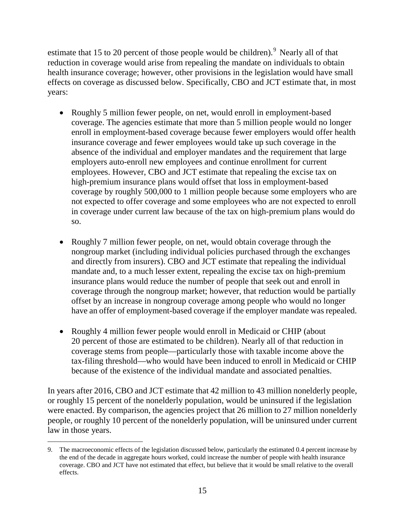estimate that 15 to 20 percent of those people would be children).<sup>[9](#page-14-0)</sup> Nearly all of that reduction in coverage would arise from repealing the mandate on individuals to obtain health insurance coverage; however, other provisions in the legislation would have small effects on coverage as discussed below. Specifically, CBO and JCT estimate that, in most years:

- Roughly 5 million fewer people, on net, would enroll in employment-based coverage. The agencies estimate that more than 5 million people would no longer enroll in employment-based coverage because fewer employers would offer health insurance coverage and fewer employees would take up such coverage in the absence of the individual and employer mandates and the requirement that large employers auto-enroll new employees and continue enrollment for current employees. However, CBO and JCT estimate that repealing the excise tax on high-premium insurance plans would offset that loss in employment-based coverage by roughly 500,000 to 1 million people because some employers who are not expected to offer coverage and some employees who are not expected to enroll in coverage under current law because of the tax on high-premium plans would do so.
- Roughly 7 million fewer people, on net, would obtain coverage through the nongroup market (including individual policies purchased through the exchanges and directly from insurers). CBO and JCT estimate that repealing the individual mandate and, to a much lesser extent, repealing the excise tax on high-premium insurance plans would reduce the number of people that seek out and enroll in coverage through the nongroup market; however, that reduction would be partially offset by an increase in nongroup coverage among people who would no longer have an offer of employment-based coverage if the employer mandate was repealed.
- Roughly 4 million fewer people would enroll in Medicaid or CHIP (about 20 percent of those are estimated to be children). Nearly all of that reduction in coverage stems from people—particularly those with taxable income above the tax-filing threshold—who would have been induced to enroll in Medicaid or CHIP because of the existence of the individual mandate and associated penalties.

In years after 2016, CBO and JCT estimate that 42 million to 43 million nonelderly people, or roughly 15 percent of the nonelderly population, would be uninsured if the legislation were enacted. By comparison, the agencies project that 26 million to 27 million nonelderly people, or roughly 10 percent of the nonelderly population, will be uninsured under current law in those years.

<span id="page-14-0"></span> <sup>9.</sup> The macroeconomic effects of the legislation discussed below, particularly the estimated 0.4 percent increase by the end of the decade in aggregate hours worked, could increase the number of people with health insurance coverage. CBO and JCT have not estimated that effect, but believe that it would be small relative to the overall effects.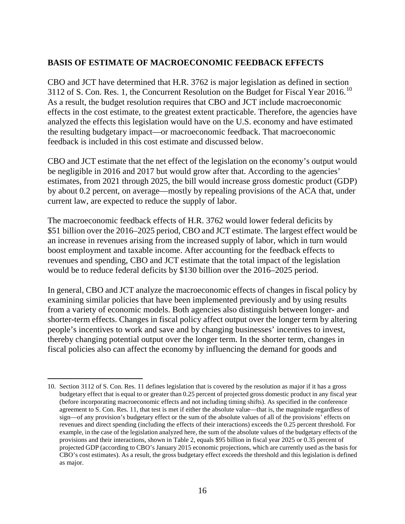### **BASIS OF ESTIMATE OF MACROECONOMIC FEEDBACK EFFECTS**

CBO and JCT have determined that H.R. 3762 is major legislation as defined in section 3112 of S. Con. Res. 1, the Concurrent Resolution on the Budget for Fiscal Year 2016.<sup>[10](#page-15-0)</sup> As a result, the budget resolution requires that CBO and JCT include macroeconomic effects in the cost estimate, to the greatest extent practicable. Therefore, the agencies have analyzed the effects this legislation would have on the U.S. economy and have estimated the resulting budgetary impact—or macroeconomic feedback. That macroeconomic feedback is included in this cost estimate and discussed below.

CBO and JCT estimate that the net effect of the legislation on the economy's output would be negligible in 2016 and 2017 but would grow after that. According to the agencies' estimates, from 2021 through 2025, the bill would increase gross domestic product (GDP) by about 0.2 percent, on average—mostly by repealing provisions of the ACA that, under current law, are expected to reduce the supply of labor.

The macroeconomic feedback effects of H.R. 3762 would lower federal deficits by \$51 billion over the 2016–2025 period, CBO and JCT estimate. The largest effect would be an increase in revenues arising from the increased supply of labor, which in turn would boost employment and taxable income. After accounting for the feedback effects to revenues and spending, CBO and JCT estimate that the total impact of the legislation would be to reduce federal deficits by \$130 billion over the 2016–2025 period.

In general, CBO and JCT analyze the macroeconomic effects of changes in fiscal policy by examining similar policies that have been implemented previously and by using results from a variety of economic models. Both agencies also distinguish between longer- and shorter-term effects. Changes in fiscal policy affect output over the longer term by altering people's incentives to work and save and by changing businesses' incentives to invest, thereby changing potential output over the longer term. In the shorter term, changes in fiscal policies also can affect the economy by influencing the demand for goods and

<span id="page-15-0"></span> <sup>10.</sup> Section 3112 of S. Con. Res. 11 defines legislation that is covered by the resolution as major if it has a gross budgetary effect that is equal to or greater than 0.25 percent of projected gross domestic product in any fiscal year (before incorporating macroeconomic effects and not including timing shifts). As specified in the conference agreement to S. Con. Res. 11, that test is met if either the absolute value—that is, the magnitude regardless of sign—of any provision's budgetary effect or the sum of the absolute values of all of the provisions' effects on revenues and direct spending (including the effects of their interactions) exceeds the 0.25 percent threshold. For example, in the case of the legislation analyzed here, the sum of the absolute values of the budgetary effects of the provisions and their interactions, shown in Table 2, equals \$95 billion in fiscal year 2025 or 0.35 percent of projected GDP (according to CBO's January 2015 economic projections, which are currently used as the basis for CBO's cost estimates). As a result, the gross budgetary effect exceeds the threshold and this legislation is defined as major.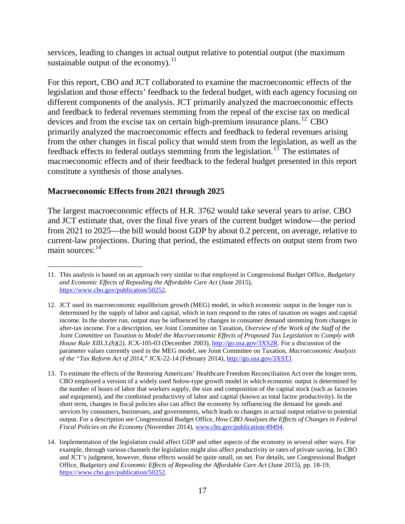services, leading to changes in actual output relative to potential output (the maximum sustainable output of the economy).<sup>[11](#page-16-0)</sup>

For this report, CBO and JCT collaborated to examine the macroeconomic effects of the legislation and those effects' feedback to the federal budget, with each agency focusing on different components of the analysis. JCT primarily analyzed the macroeconomic effects and feedback to federal revenues stemming from the repeal of the excise tax on medical devices and from the excise tax on certain high-premium insurance plans.<sup>[12](#page-16-1)</sup> CBO primarily analyzed the macroeconomic effects and feedback to federal revenues arising from the other changes in fiscal policy that would stem from the legislation, as well as the feedback effects to federal outlays stemming from the legislation.<sup>[13](#page-16-2)</sup> The estimates of macroeconomic effects and of their feedback to the federal budget presented in this report constitute a synthesis of those analyses.

### **Macroeconomic Effects from 2021 through 2025**

The largest macroeconomic effects of H.R. 3762 would take several years to arise. CBO and JCT estimate that, over the final five years of the current budget window—the period from 2021 to 2025—the bill would boost GDP by about 0.2 percent, on average, relative to current-law projections. During that period, the estimated effects on output stem from two main sources: $14$ 

<span id="page-16-0"></span> <sup>11.</sup> This analysis is based on an approach very similar to that employed in Congressional Budget Office, *Budgetary and Economic Effects of Repealing the Affordable Care Act* (June 2015), [https://www.cbo.gov/publication/50252.](https://www.cbo.gov/publication/50252)

<span id="page-16-1"></span><sup>12.</sup> JCT used its macroeconomic equilibrium growth (MEG) model, in which economic output in the longer run is determined by the supply of labor and capital, which in turn respond to the rates of taxation on wages and capital income. In the shorter run, output may be influenced by changes in consumer demand stemming from changes in after-tax income. For a description, see Joint Committee on Taxation, *Overview of the Work of the Staff of the Joint Committee on Taxation to Model the Macroeconomic Effects of Proposed Tax Legislation to Comply with House Rule XIII.3.(h)(2)*, JCX-105-03 (December 2003)[, http://go.usa.gov/3XS2R.](http://go.usa.gov/3XS2R) For a discussion of the parameter values currently used in the MEG model, see Joint Committee on Taxation, *Macroeconomic Analysis of the "Tax Reform Act of 2014*," JCX-22-14 (February 2014)[, http://go.usa.gov/3XSTJ.](http://go.usa.gov/3XSTJ)

<span id="page-16-2"></span><sup>13.</sup> To estimate the effects of the Restoring Americans' Healthcare Freedom Reconciliation Act over the longer term, CBO employed a version of a widely used Solow-type growth model in which economic output is determined by the number of hours of labor that workers supply, the size and composition of the capital stock (such as factories and equipment), and the combined productivity of labor and capital (known as total factor productivity). In the short term, changes in fiscal policies also can affect the economy by influencing the demand for goods and services by consumers, businesses, and governments, which leads to changes in actual output relative to potential output. For a description see Congressional Budget Office, *How CBO Analyzes the Effects of Changes in Federal Fiscal Policies on the Economy* (November 2014)[, www.cbo.gov/publication/49494.](http://www.cbo.gov/publication/49494)

<span id="page-16-3"></span><sup>14.</sup> Implementation of the legislation could affect GDP and other aspects of the economy in several other ways. For example, through various channels the legislation might also affect productivity or rates of private saving. In CBO and JCT's judgment, however, those effects would be quite small, on net. For details, see Congressional Budget Office, *Budgetary and Economic Effects of Repealing the Affordable Care Act* (June 2015), pp. 18-19, [https://www.cbo.gov/publication/50252.](https://www.cbo.gov/publication/50252)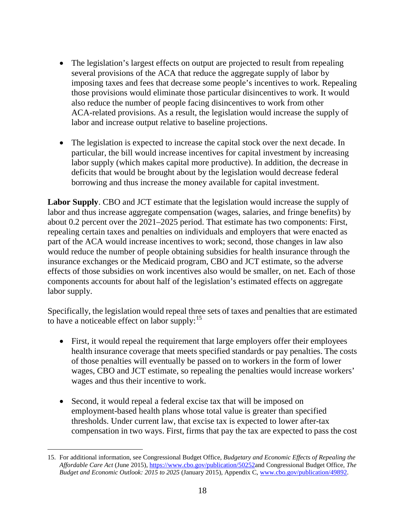- The legislation's largest effects on output are projected to result from repealing several provisions of the ACA that reduce the aggregate supply of labor by imposing taxes and fees that decrease some people's incentives to work. Repealing those provisions would eliminate those particular disincentives to work. It would also reduce the number of people facing disincentives to work from other ACA-related provisions. As a result, the legislation would increase the supply of labor and increase output relative to baseline projections.
- The legislation is expected to increase the capital stock over the next decade. In particular, the bill would increase incentives for capital investment by increasing labor supply (which makes capital more productive). In addition, the decrease in deficits that would be brought about by the legislation would decrease federal borrowing and thus increase the money available for capital investment.

**Labor Supply**. CBO and JCT estimate that the legislation would increase the supply of labor and thus increase aggregate compensation (wages, salaries, and fringe benefits) by about 0.2 percent over the 2021–2025 period. That estimate has two components: First, repealing certain taxes and penalties on individuals and employers that were enacted as part of the ACA would increase incentives to work; second, those changes in law also would reduce the number of people obtaining subsidies for health insurance through the insurance exchanges or the Medicaid program, CBO and JCT estimate, so the adverse effects of those subsidies on work incentives also would be smaller, on net. Each of those components accounts for about half of the legislation's estimated effects on aggregate labor supply.

Specifically, the legislation would repeal three sets of taxes and penalties that are estimated to have a noticeable effect on labor supply:<sup>[15](#page-17-0)</sup>

- First, it would repeal the requirement that large employers offer their employees health insurance coverage that meets specified standards or pay penalties. The costs of those penalties will eventually be passed on to workers in the form of lower wages, CBO and JCT estimate, so repealing the penalties would increase workers' wages and thus their incentive to work.
- Second, it would repeal a federal excise tax that will be imposed on employment-based health plans whose total value is greater than specified thresholds. Under current law, that excise tax is expected to lower after-tax compensation in two ways. First, firms that pay the tax are expected to pass the cost

<span id="page-17-0"></span> <sup>15.</sup> For additional information, see Congressional Budget Office, *Budgetary and Economic Effects of Repealing the Affordable Care Act* (June 2015), [https://www.cbo.gov/publication/50252a](https://www.cbo.gov/publication/50252)nd Congressional Budget Office, *The Budget and Economic Outlook: 2015 to 2025* (January 2015), Appendix C, [www.cbo.gov/publication/49892.](http://www.cbo.gov/publication/49892)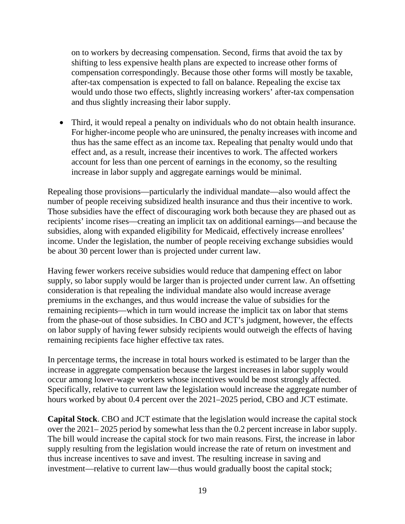on to workers by decreasing compensation. Second, firms that avoid the tax by shifting to less expensive health plans are expected to increase other forms of compensation correspondingly. Because those other forms will mostly be taxable, after-tax compensation is expected to fall on balance. Repealing the excise tax would undo those two effects, slightly increasing workers' after-tax compensation and thus slightly increasing their labor supply.

• Third, it would repeal a penalty on individuals who do not obtain health insurance. For higher-income people who are uninsured, the penalty increases with income and thus has the same effect as an income tax. Repealing that penalty would undo that effect and, as a result, increase their incentives to work. The affected workers account for less than one percent of earnings in the economy, so the resulting increase in labor supply and aggregate earnings would be minimal.

Repealing those provisions—particularly the individual mandate—also would affect the number of people receiving subsidized health insurance and thus their incentive to work. Those subsidies have the effect of discouraging work both because they are phased out as recipients' income rises—creating an implicit tax on additional earnings—and because the subsidies, along with expanded eligibility for Medicaid, effectively increase enrollees' income. Under the legislation, the number of people receiving exchange subsidies would be about 30 percent lower than is projected under current law.

Having fewer workers receive subsidies would reduce that dampening effect on labor supply, so labor supply would be larger than is projected under current law. An offsetting consideration is that repealing the individual mandate also would increase average premiums in the exchanges, and thus would increase the value of subsidies for the remaining recipients—which in turn would increase the implicit tax on labor that stems from the phase-out of those subsidies. In CBO and JCT's judgment, however, the effects on labor supply of having fewer subsidy recipients would outweigh the effects of having remaining recipients face higher effective tax rates.

In percentage terms, the increase in total hours worked is estimated to be larger than the increase in aggregate compensation because the largest increases in labor supply would occur among lower-wage workers whose incentives would be most strongly affected. Specifically, relative to current law the legislation would increase the aggregate number of hours worked by about 0.4 percent over the 2021–2025 period, CBO and JCT estimate.

**Capital Stock**. CBO and JCT estimate that the legislation would increase the capital stock over the 2021– 2025 period by somewhat less than the 0.2 percent increase in labor supply. The bill would increase the capital stock for two main reasons. First, the increase in labor supply resulting from the legislation would increase the rate of return on investment and thus increase incentives to save and invest. The resulting increase in saving and investment—relative to current law—thus would gradually boost the capital stock;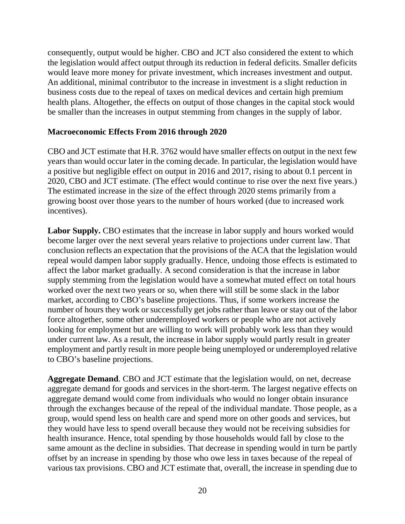consequently, output would be higher. CBO and JCT also considered the extent to which the legislation would affect output through its reduction in federal deficits. Smaller deficits would leave more money for private investment, which increases investment and output. An additional, minimal contributor to the increase in investment is a slight reduction in business costs due to the repeal of taxes on medical devices and certain high premium health plans. Altogether, the effects on output of those changes in the capital stock would be smaller than the increases in output stemming from changes in the supply of labor.

### **Macroeconomic Effects From 2016 through 2020**

CBO and JCT estimate that H.R. 3762 would have smaller effects on output in the next few years than would occur later in the coming decade. In particular, the legislation would have a positive but negligible effect on output in 2016 and 2017, rising to about 0.1 percent in 2020, CBO and JCT estimate. (The effect would continue to rise over the next five years.) The estimated increase in the size of the effect through 2020 stems primarily from a growing boost over those years to the number of hours worked (due to increased work incentives).

Labor Supply. CBO estimates that the increase in labor supply and hours worked would become larger over the next several years relative to projections under current law. That conclusion reflects an expectation that the provisions of the ACA that the legislation would repeal would dampen labor supply gradually. Hence, undoing those effects is estimated to affect the labor market gradually. A second consideration is that the increase in labor supply stemming from the legislation would have a somewhat muted effect on total hours worked over the next two years or so, when there will still be some slack in the labor market, according to CBO's baseline projections. Thus, if some workers increase the number of hours they work or successfully get jobs rather than leave or stay out of the labor force altogether, some other underemployed workers or people who are not actively looking for employment but are willing to work will probably work less than they would under current law. As a result, the increase in labor supply would partly result in greater employment and partly result in more people being unemployed or underemployed relative to CBO's baseline projections.

**Aggregate Demand**. CBO and JCT estimate that the legislation would, on net, decrease aggregate demand for goods and services in the short-term. The largest negative effects on aggregate demand would come from individuals who would no longer obtain insurance through the exchanges because of the repeal of the individual mandate. Those people, as a group, would spend less on health care and spend more on other goods and services, but they would have less to spend overall because they would not be receiving subsidies for health insurance. Hence, total spending by those households would fall by close to the same amount as the decline in subsidies. That decrease in spending would in turn be partly offset by an increase in spending by those who owe less in taxes because of the repeal of various tax provisions. CBO and JCT estimate that, overall, the increase in spending due to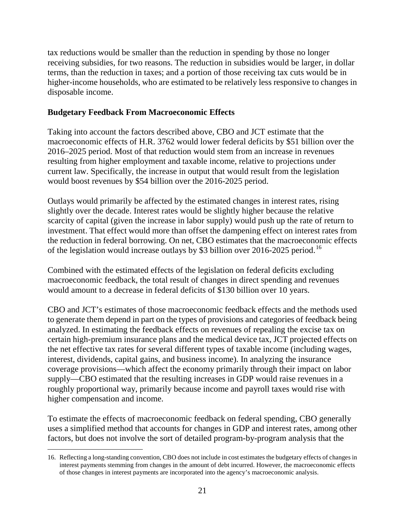tax reductions would be smaller than the reduction in spending by those no longer receiving subsidies, for two reasons. The reduction in subsidies would be larger, in dollar terms, than the reduction in taxes; and a portion of those receiving tax cuts would be in higher-income households, who are estimated to be relatively less responsive to changes in disposable income.

## **Budgetary Feedback From Macroeconomic Effects**

Taking into account the factors described above, CBO and JCT estimate that the macroeconomic effects of H.R. 3762 would lower federal deficits by \$51 billion over the 2016–2025 period. Most of that reduction would stem from an increase in revenues resulting from higher employment and taxable income, relative to projections under current law. Specifically, the increase in output that would result from the legislation would boost revenues by \$54 billion over the 2016-2025 period.

Outlays would primarily be affected by the estimated changes in interest rates, rising slightly over the decade. Interest rates would be slightly higher because the relative scarcity of capital (given the increase in labor supply) would push up the rate of return to investment. That effect would more than offset the dampening effect on interest rates from the reduction in federal borrowing. On net, CBO estimates that the macroeconomic effects of the legislation would increase outlays by \$3 billion over 20[16](#page-20-0)-2025 period.<sup>16</sup>

Combined with the estimated effects of the legislation on federal deficits excluding macroeconomic feedback, the total result of changes in direct spending and revenues would amount to a decrease in federal deficits of \$130 billion over 10 years.

CBO and JCT's estimates of those macroeconomic feedback effects and the methods used to generate them depend in part on the types of provisions and categories of feedback being analyzed. In estimating the feedback effects on revenues of repealing the excise tax on certain high-premium insurance plans and the medical device tax, JCT projected effects on the net effective tax rates for several different types of taxable income (including wages, interest, dividends, capital gains, and business income). In analyzing the insurance coverage provisions—which affect the economy primarily through their impact on labor supply—CBO estimated that the resulting increases in GDP would raise revenues in a roughly proportional way, primarily because income and payroll taxes would rise with higher compensation and income.

To estimate the effects of macroeconomic feedback on federal spending, CBO generally uses a simplified method that accounts for changes in GDP and interest rates, among other factors, but does not involve the sort of detailed program-by-program analysis that the

<span id="page-20-0"></span> <sup>16.</sup> Reflecting a long-standing convention, CBO does not include in cost estimates the budgetary effects of changes in interest payments stemming from changes in the amount of debt incurred. However, the macroeconomic effects of those changes in interest payments are incorporated into the agency's macroeconomic analysis.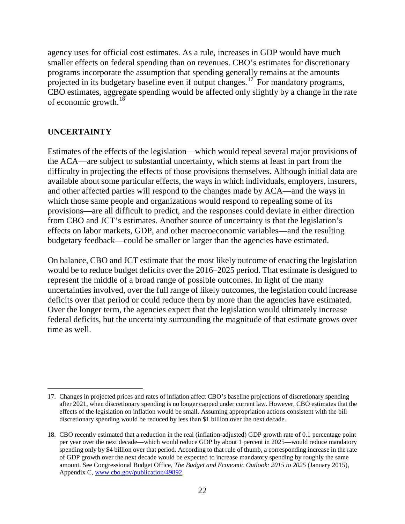agency uses for official cost estimates. As a rule, increases in GDP would have much smaller effects on federal spending than on revenues. CBO's estimates for discretionary programs incorporate the assumption that spending generally remains at the amounts projected in its budgetary baseline even if output changes.[17](#page-21-0) For mandatory programs, CBO estimates, aggregate spending would be affected only slightly by a change in the rate of economic growth.<sup>[18](#page-21-1)</sup>

### **UNCERTAINTY**

Estimates of the effects of the legislation—which would repeal several major provisions of the ACA—are subject to substantial uncertainty, which stems at least in part from the difficulty in projecting the effects of those provisions themselves. Although initial data are available about some particular effects, the ways in which individuals, employers, insurers, and other affected parties will respond to the changes made by ACA—and the ways in which those same people and organizations would respond to repealing some of its provisions—are all difficult to predict, and the responses could deviate in either direction from CBO and JCT's estimates. Another source of uncertainty is that the legislation's effects on labor markets, GDP, and other macroeconomic variables—and the resulting budgetary feedback—could be smaller or larger than the agencies have estimated.

On balance, CBO and JCT estimate that the most likely outcome of enacting the legislation would be to reduce budget deficits over the 2016–2025 period. That estimate is designed to represent the middle of a broad range of possible outcomes. In light of the many uncertainties involved, over the full range of likely outcomes, the legislation could increase deficits over that period or could reduce them by more than the agencies have estimated. Over the longer term, the agencies expect that the legislation would ultimately increase federal deficits, but the uncertainty surrounding the magnitude of that estimate grows over time as well.

<span id="page-21-0"></span> <sup>17.</sup> Changes in projected prices and rates of inflation affect CBO's baseline projections of discretionary spending after 2021, when discretionary spending is no longer capped under current law. However, CBO estimates that the effects of the legislation on inflation would be small. Assuming appropriation actions consistent with the bill discretionary spending would be reduced by less than \$1 billion over the next decade.

<span id="page-21-1"></span><sup>18.</sup> CBO recently estimated that a reduction in the real (inflation-adjusted) GDP growth rate of 0.1 percentage point per year over the next decade—which would reduce GDP by about 1 percent in 2025—would reduce mandatory spending only by \$4 billion over that period. According to that rule of thumb, a corresponding increase in the rate of GDP growth over the next decade would be expected to increase mandatory spending by roughly the same amount. See Congressional Budget Office, *The Budget and Economic Outlook: 2015 to 2025* (January 2015), Appendix C, [www.cbo.gov/publication/49892.](http://www.cbo.gov/publication/49892)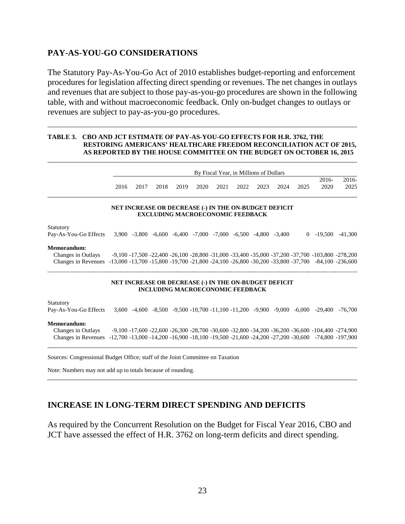### **PAY-AS-YOU-GO CONSIDERATIONS**

The Statutory Pay-As-You-Go Act of 2010 establishes budget-reporting and enforcement procedures for legislation affecting direct spending or revenues. The net changes in outlays and revenues that are subject to those pay-as-you-go procedures are shown in the following table, with and without macroeconomic feedback. Only on-budget changes to outlays or revenues are subject to pay-as-you-go procedures.

#### **TABLE 3. CBO AND JCT ESTIMATE OF PAY-AS-YOU-GO EFFECTS FOR H.R. 3762, THE RESTORING AMERICANS' HEALTHCARE FREEDOM RECONCILIATION ACT OF 2015, AS REPORTED BY THE HOUSE COMMITTEE ON THE BUDGET ON OCTOBER 16, 2015**

|                                                                                                                                                           |      |      | By Fiscal Year, in Millions of Dollars |      |                                                                                                  |      |      |      |      |      |                                                                                                               |                 |  |  |
|-----------------------------------------------------------------------------------------------------------------------------------------------------------|------|------|----------------------------------------|------|--------------------------------------------------------------------------------------------------|------|------|------|------|------|---------------------------------------------------------------------------------------------------------------|-----------------|--|--|
|                                                                                                                                                           | 2016 | 2017 | 2018                                   | 2019 | 2020                                                                                             | 2021 | 2022 | 2023 | 2024 | 2025 | $2016-$<br>2020                                                                                               | $2016-$<br>2025 |  |  |
|                                                                                                                                                           |      |      |                                        |      | NET INCREASE OR DECREASE (-) IN THE ON-BUDGET DEFICIT<br><b>EXCLUDING MACROECONOMIC FEEDBACK</b> |      |      |      |      |      |                                                                                                               |                 |  |  |
| Statutory                                                                                                                                                 |      |      |                                        |      |                                                                                                  |      |      |      |      |      |                                                                                                               |                 |  |  |
| Pay-As-You-Go Effects                                                                                                                                     |      |      |                                        |      | $3,900 -3,800 -6,600 -6,400 -7,000 -7,000 -6,500 -4,800 -3,400$                                  |      |      |      |      |      | $0 -19.500$                                                                                                   | $-41,300$       |  |  |
| Memorandum:                                                                                                                                               |      |      |                                        |      |                                                                                                  |      |      |      |      |      |                                                                                                               |                 |  |  |
| Changes in Outlays                                                                                                                                        |      |      |                                        |      |                                                                                                  |      |      |      |      |      | $-9,100 -17,500 -22,400 -26,100 -28,800 -31,000 -33,400 -35,000 -37,200 -37,700 -103,800 -278,200$            |                 |  |  |
| Changes in Revenues -13,000 -13,700 -15,800 -19,700 -21,800 -24,100 -26,800 -30,200 -33,800 -37,700 -84,100 -236,600                                      |      |      |                                        |      |                                                                                                  |      |      |      |      |      |                                                                                                               |                 |  |  |
|                                                                                                                                                           |      |      |                                        |      | NET INCREASE OR DECREASE (-) IN THE ON-BUDGET DEFICIT<br><b>INCLUDING MACROECONOMIC FEEDBACK</b> |      |      |      |      |      |                                                                                                               |                 |  |  |
| Statutory                                                                                                                                                 |      |      |                                        |      |                                                                                                  |      |      |      |      |      |                                                                                                               |                 |  |  |
| Pay-As-You-Go Effects                                                                                                                                     |      |      |                                        |      |                                                                                                  |      |      |      |      |      | $3,600 - 4,600 - 8,500 - 9,500 - 10,700 - 11,100 - 11,200 - 9,900 - 9,000 - 6,000 - 29,400$                   | $-76,700$       |  |  |
| Memorandum:<br>Changes in Outlays<br>Changes in Revenues -12,700 -13,000 -14,200 -16,900 -18,100 -19,500 -21,600 -24,200 -27,200 -30,600 -74,800 -197,900 |      |      |                                        |      |                                                                                                  |      |      |      |      |      | $-9,100 - 17,600 - 22,600 - 26,300 - 28,700 - 30,600 - 32,800 - 34,200 - 36,200 - 36,600 - 104,400 - 274,900$ |                 |  |  |

Sources: Congressional Budget Office; staff of the Joint Committee on Taxation

Note: Numbers may not add up to totals because of rounding.

### **INCREASE IN LONG-TERM DIRECT SPENDING AND DEFICITS**

As required by the Concurrent Resolution on the Budget for Fiscal Year 2016, CBO and JCT have assessed the effect of H.R. 3762 on long-term deficits and direct spending.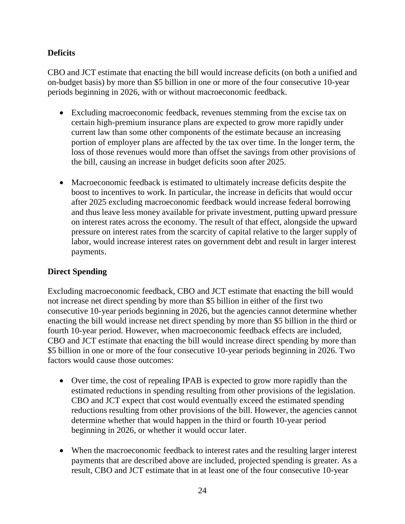# **Deficits**

CBO and JCT estimate that enacting the bill would increase deficits (on both a unified and on-budget basis) by more than \$5 billion in one or more of the four consecutive 10-year periods beginning in 2026, with or without macroeconomic feedback.

- Excluding macroeconomic feedback, revenues stemming from the excise tax on certain high-premium insurance plans are expected to grow more rapidly under current law than some other components of the estimate because an increasing portion of employer plans are affected by the tax over time. In the longer term, the loss of those revenues would more than offset the savings from other provisions of the bill, causing an increase in budget deficits soon after 2025.
- Macroeconomic feedback is estimated to ultimately increase deficits despite the boost to incentives to work. In particular, the increase in deficits that would occur after 2025 excluding macroeconomic feedback would increase federal borrowing and thus leave less money available for private investment, putting upward pressure on interest rates across the economy. The result of that effect, alongside the upward pressure on interest rates from the scarcity of capital relative to the larger supply of labor, would increase interest rates on government debt and result in larger interest payments.

# **Direct Spending**

Excluding macroeconomic feedback, CBO and JCT estimate that enacting the bill would not increase net direct spending by more than \$5 billion in either of the first two consecutive 10-year periods beginning in 2026, but the agencies cannot determine whether enacting the bill would increase net direct spending by more than \$5 billion in the third or fourth 10-year period. However, when macroeconomic feedback effects are included, CBO and JCT estimate that enacting the bill would increase direct spending by more than \$5 billion in one or more of the four consecutive 10-year periods beginning in 2026. Two factors would cause those outcomes:

- Over time, the cost of repealing IPAB is expected to grow more rapidly than the estimated reductions in spending resulting from other provisions of the legislation. CBO and JCT expect that cost would eventually exceed the estimated spending reductions resulting from other provisions of the bill. However, the agencies cannot determine whether that would happen in the third or fourth 10-year period beginning in 2026, or whether it would occur later.
- When the macroeconomic feedback to interest rates and the resulting larger interest payments that are described above are included, projected spending is greater. As a result, CBO and JCT estimate that in at least one of the four consecutive 10-year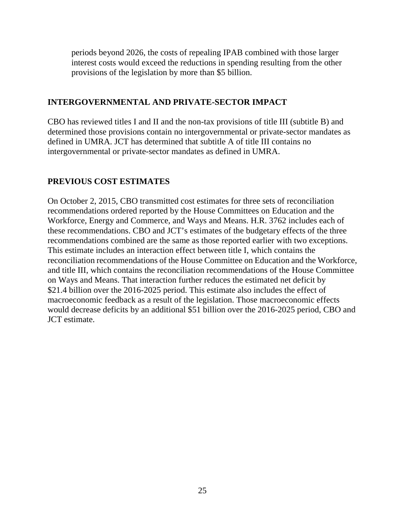periods beyond 2026, the costs of repealing IPAB combined with those larger interest costs would exceed the reductions in spending resulting from the other provisions of the legislation by more than \$5 billion.

### **INTERGOVERNMENTAL AND PRIVATE-SECTOR IMPACT**

CBO has reviewed titles I and II and the non-tax provisions of title III (subtitle B) and determined those provisions contain no intergovernmental or private-sector mandates as defined in UMRA. JCT has determined that subtitle A of title III contains no intergovernmental or private-sector mandates as defined in UMRA.

# **PREVIOUS COST ESTIMATES**

On October 2, 2015, CBO transmitted cost estimates for three sets of reconciliation recommendations ordered reported by the House Committees on Education and the Workforce, Energy and Commerce, and Ways and Means. H.R. 3762 includes each of these recommendations. CBO and JCT's estimates of the budgetary effects of the three recommendations combined are the same as those reported earlier with two exceptions. This estimate includes an interaction effect between title I, which contains the reconciliation recommendations of the House Committee on Education and the Workforce, and title III, which contains the reconciliation recommendations of the House Committee on Ways and Means. That interaction further reduces the estimated net deficit by \$21.4 billion over the 2016-2025 period. This estimate also includes the effect of macroeconomic feedback as a result of the legislation. Those macroeconomic effects would decrease deficits by an additional \$51 billion over the 2016-2025 period, CBO and JCT estimate.